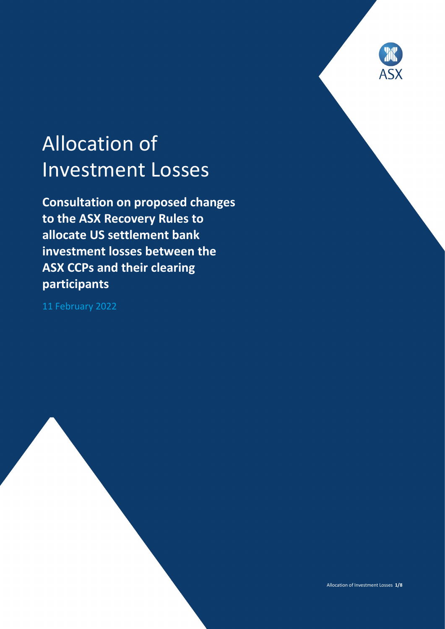

# Allocation of Investment Losses

**Consultation on proposed changes to the ASX Recovery Rules to allocate US settlement bank investment losses between the ASX CCPs and their clearing participants**

11 February 2022

Allocation of Investment Losses **1/8**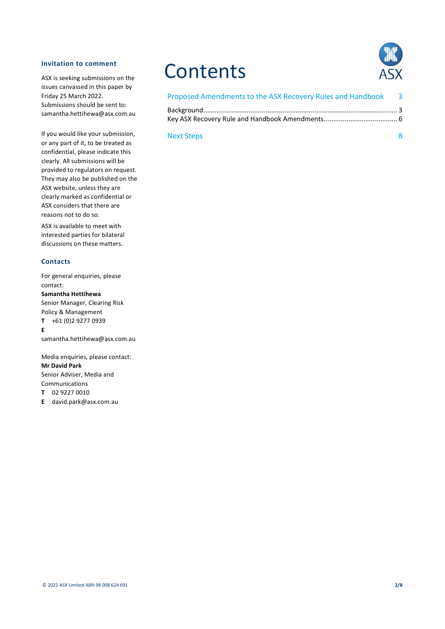#### **Invitation to comment**

ASX is seeking submissions on the issues canvassed in this paper by Friday 25 March 2022. Submissions should be sent to: samantha.hettihewa@asx.com.au

If you would like your submission, or any part of it, to be treated as confidential, please indicate this clearly. All submissions will be provided to regulators on request. They may also be published on the ASX website, unless they are clearly marked as confidential or ASX considers that there are reasons not to do so.

ASX is available to meet with interested parties for bilateral discussions on these matters.

#### **Contacts**

For general enquiries, please contact: **Samantha Hettihewa** Senior Manager, Clearing Risk Policy & Management **T** +61 (0)2 9277 0939 **E**

samantha.hettihewa@asx.com.au

Media enquiries, please contact: **Mr David Park** Senior Adviser, Media and Communications

**T** 02 9227 0010

**E** david.park@asx.com.au

# **Contents**



| Proposed Amendments to the ASX Recovery Rules and Handbook 3 |  |
|--------------------------------------------------------------|--|
|                                                              |  |
|                                                              |  |

#### Next Steps 8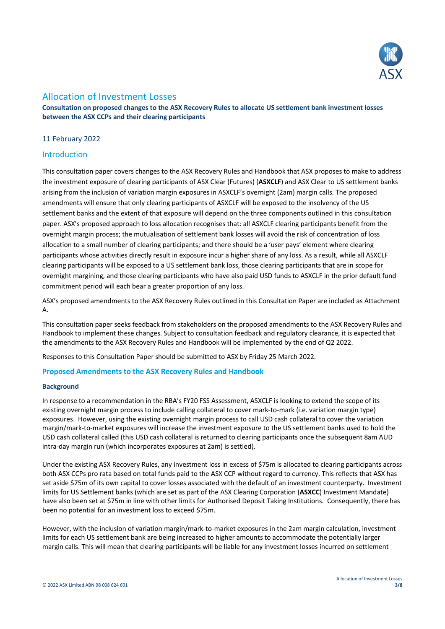

## Allocation of Investment Losses

**Consultation on proposed changes to the ASX Recovery Rules to allocate US settlement bank investment losses between the ASX CCPs and their clearing participants**

#### 11 February 2022

#### Introduction

This consultation paper covers changes to the ASX Recovery Rules and Handbook that ASX proposes to make to address the investment exposure of clearing participants of ASX Clear (Futures) (**ASXCLF**) and ASX Clear to US settlement banks arising from the inclusion of variation margin exposures in ASXCLF's overnight (2am) margin calls. The proposed amendments will ensure that only clearing participants of ASXCLF will be exposed to the insolvency of the US settlement banks and the extent of that exposure will depend on the three components outlined in this consultation paper. ASX's proposed approach to loss allocation recognises that: all ASXCLF clearing participants benefit from the overnight margin process; the mutualisation of settlement bank losses will avoid the risk of concentration of loss allocation to a small number of clearing participants; and there should be a 'user pays' element where clearing participants whose activities directly result in exposure incur a higher share of any loss. As a result, while all ASXCLF clearing participants will be exposed to a US settlement bank loss, those clearing participants that are in scope for overnight margining, and those clearing participants who have also paid USD funds to ASXCLF in the prior default fund commitment period will each bear a greater proportion of any loss.

ASX's proposed amendments to the ASX Recovery Rules outlined in this Consultation Paper are included as Attachment A.

This consultation paper seeks feedback from stakeholders on the proposed amendments to the ASX Recovery Rules and Handbook to implement these changes. Subject to consultation feedback and regulatory clearance, it is expected that the amendments to the ASX Recovery Rules and Handbook will be implemented by the end of Q2 2022.

Responses to this Consultation Paper should be submitted to ASX by Friday 25 March 2022.

#### **Proposed Amendments to the ASX Recovery Rules and Handbook**

#### **Background**

In response to a recommendation in the RBA's FY20 FSS Assessment, ASXCLF is looking to extend the scope of its existing overnight margin process to include calling collateral to cover mark-to-mark (i.e. variation margin type) exposures. However, using the existing overnight margin process to call USD cash collateral to cover the variation margin/mark-to-market exposures will increase the investment exposure to the US settlement banks used to hold the USD cash collateral called (this USD cash collateral is returned to clearing participants once the subsequent 8am AUD intra-day margin run (which incorporates exposures at 2am) is settled).

Under the existing ASX Recovery Rules, any investment loss in excess of \$75m is allocated to clearing participants across both ASX CCPs pro rata based on total funds paid to the ASX CCP without regard to currency. This reflects that ASX has set aside \$75m of its own capital to cover losses associated with the default of an investment counterparty. Investment limits for US Settlement banks (which are set as part of the ASX Clearing Corporation (**ASXCC**) Investment Mandate) have also been set at \$75m in line with other limits for Authorised Deposit Taking Institutions. Consequently, there has been no potential for an investment loss to exceed \$75m.

However, with the inclusion of variation margin/mark-to-market exposures in the 2am margin calculation, investment limits for each US settlement bank are being increased to higher amounts to accommodate the potentially larger margin calls. This will mean that clearing participants will be liable for any investment losses incurred on settlement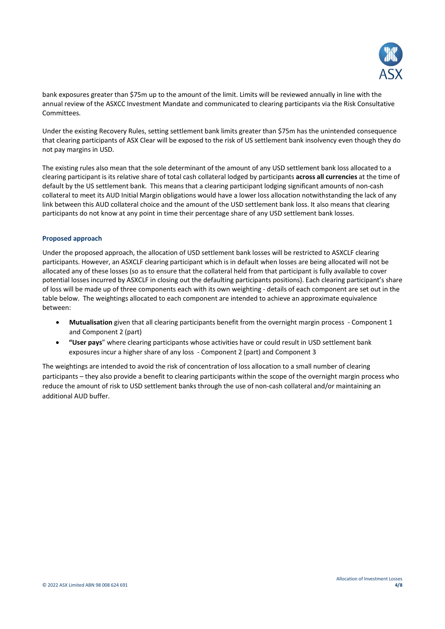

bank exposures greater than \$75m up to the amount of the limit. Limits will be reviewed annually in line with the annual review of the ASXCC Investment Mandate and communicated to clearing participants via the Risk Consultative Committees.

Under the existing Recovery Rules, setting settlement bank limits greater than \$75m has the unintended consequence that clearing participants of ASX Clear will be exposed to the risk of US settlement bank insolvency even though they do not pay margins in USD.

The existing rules also mean that the sole determinant of the amount of any USD settlement bank loss allocated to a clearing participant is its relative share of total cash collateral lodged by participants **across all currencies** at the time of default by the US settlement bank. This means that a clearing participant lodging significant amounts of non-cash collateral to meet its AUD Initial Margin obligations would have a lower loss allocation notwithstanding the lack of any link between this AUD collateral choice and the amount of the USD settlement bank loss. It also means that clearing participants do not know at any point in time their percentage share of any USD settlement bank losses.

#### **Proposed approach**

Under the proposed approach, the allocation of USD settlement bank losses will be restricted to ASXCLF clearing participants. However, an ASXCLF clearing participant which is in default when losses are being allocated will not be allocated any of these losses (so as to ensure that the collateral held from that participant is fully available to cover potential losses incurred by ASXCLF in closing out the defaulting participants positions). Each clearing participant's share of loss will be made up of three components each with its own weighting - details of each component are set out in the table below. The weightings allocated to each component are intended to achieve an approximate equivalence between:

- **Mutualisation** given that all clearing participants benefit from the overnight margin process Component 1 and Component 2 (part)
- **"User pays**" where clearing participants whose activities have or could result in USD settlement bank exposures incur a higher share of any loss - Component 2 (part) and Component 3

The weightings are intended to avoid the risk of concentration of loss allocation to a small number of clearing participants – they also provide a benefit to clearing participants within the scope of the overnight margin process who reduce the amount of risk to USD settlement banks through the use of non-cash collateral and/or maintaining an additional AUD buffer.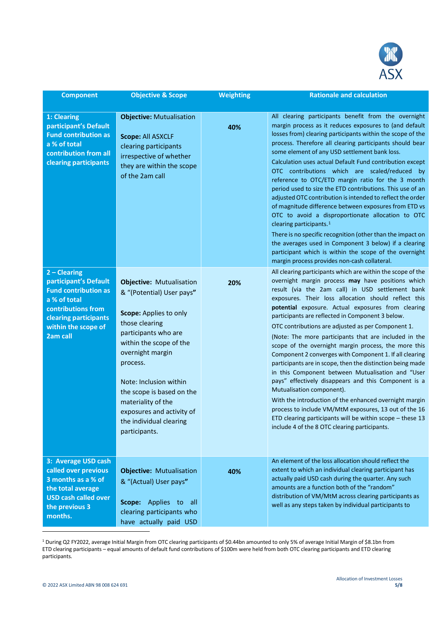

| <b>Component</b>                                                                                                                                                         | <b>Objective &amp; Scope</b>                                                                                                                                                                                                                                                                                                                      | Weighting | <b>Rationale and calculation</b>                                                                                                                                                                                                                                                                                                                                                                                                                                                                                                                                                                                                                                                                                                                                                                                                                                                                                                                                                                                    |
|--------------------------------------------------------------------------------------------------------------------------------------------------------------------------|---------------------------------------------------------------------------------------------------------------------------------------------------------------------------------------------------------------------------------------------------------------------------------------------------------------------------------------------------|-----------|---------------------------------------------------------------------------------------------------------------------------------------------------------------------------------------------------------------------------------------------------------------------------------------------------------------------------------------------------------------------------------------------------------------------------------------------------------------------------------------------------------------------------------------------------------------------------------------------------------------------------------------------------------------------------------------------------------------------------------------------------------------------------------------------------------------------------------------------------------------------------------------------------------------------------------------------------------------------------------------------------------------------|
| 1: Clearing<br>participant's Default<br><b>Fund contribution as</b><br>a % of total<br>contribution from all<br>clearing participants                                    | <b>Objective: Mutualisation</b><br>Scope: All ASXCLF<br>clearing participants<br>irrespective of whether<br>they are within the scope<br>of the 2am call                                                                                                                                                                                          | 40%       | All clearing participants benefit from the overnight<br>margin process as it reduces exposures to (and default<br>losses from) clearing participants within the scope of the<br>process. Therefore all clearing participants should bear<br>some element of any USD settlement bank loss.<br>Calculation uses actual Default Fund contribution except<br>OTC contributions which are scaled/reduced by<br>reference to OTC/ETD margin ratio for the 3 month<br>period used to size the ETD contributions. This use of an<br>adjusted OTC contribution is intended to reflect the order<br>of magnitude difference between exposures from ETD vs<br>OTC to avoid a disproportionate allocation to OTC<br>clearing participants. $1$<br>There is no specific recognition (other than the impact on<br>the averages used in Component 3 below) if a clearing<br>participant which is within the scope of the overnight<br>margin process provides non-cash collateral.                                                 |
| $2 - Clearing$<br>participant's Default<br><b>Fund contribution as</b><br>a % of total<br>contributions from<br>clearing participants<br>within the scope of<br>2am call | <b>Objective: Mutualisation</b><br>& "(Potential) User pays"<br>Scope: Applies to only<br>those clearing<br>participants who are<br>within the scope of the<br>overnight margin<br>process.<br>Note: Inclusion within<br>the scope is based on the<br>materiality of the<br>exposures and activity of<br>the individual clearing<br>participants. | 20%       | All clearing participants which are within the scope of the<br>overnight margin process may have positions which<br>result (via the 2am call) in USD settlement bank<br>exposures. Their loss allocation should reflect this<br>potential exposure. Actual exposures from clearing<br>participants are reflected in Component 3 below.<br>OTC contributions are adjusted as per Component 1.<br>(Note: The more participants that are included in the<br>scope of the overnight margin process, the more this<br>Component 2 converges with Component 1. If all clearing<br>participants are in scope, then the distinction being made<br>in this Component between Mutualisation and "User<br>pays" effectively disappears and this Component is a<br>Mutualisation component).<br>With the introduction of the enhanced overnight margin<br>process to include VM/MtM exposures, 13 out of the 16<br>ETD clearing participants will be within scope $-$ these 13<br>include 4 of the 8 OTC clearing participants. |
| 3: Average USD cash<br>called over previous<br>3 months as a % of<br>the total average<br><b>USD cash called over</b><br>the previous 3<br>months.                       | <b>Objective: Mutualisation</b><br>& "(Actual) User pays"<br>Scope: Applies to all<br>clearing participants who<br>have actually paid USD                                                                                                                                                                                                         | 40%       | An element of the loss allocation should reflect the<br>extent to which an individual clearing participant has<br>actually paid USD cash during the quarter. Any such<br>amounts are a function both of the "random"<br>distribution of VM/MtM across clearing participants as<br>well as any steps taken by individual participants to                                                                                                                                                                                                                                                                                                                                                                                                                                                                                                                                                                                                                                                                             |

<span id="page-4-0"></span><sup>1</sup> During Q2 FY2022, average Initial Margin from OTC clearing participants of \$0.44bn amounted to only 5% of average Initial Margin of \$8.1bn from ETD clearing participants – equal amounts of default fund contributions of \$100m were held from both OTC clearing participants and ETD clearing participants.

1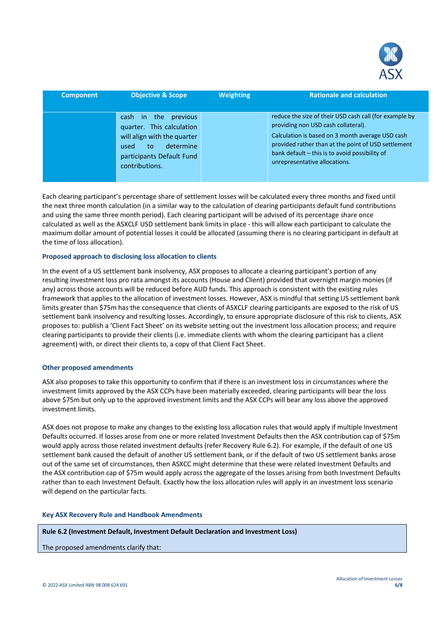

| Component | <b>Objective &amp; Scope</b>                                                                                                                                      | <b>Weighting</b> | <b>Rationale and calculation</b>                                                                                                                                                                                                                                                            |
|-----------|-------------------------------------------------------------------------------------------------------------------------------------------------------------------|------------------|---------------------------------------------------------------------------------------------------------------------------------------------------------------------------------------------------------------------------------------------------------------------------------------------|
|           | previous<br>the.<br>cash in<br>quarter. This calculation<br>will align with the quarter<br>determine<br>used<br>to<br>participants Default Fund<br>contributions. |                  | reduce the size of their USD cash call (for example by<br>providing non USD cash collateral).<br>Calculation is based on 3 month average USD cash<br>provided rather than at the point of USD settlement<br>bank default - this is to avoid possibility of<br>unrepresentative allocations. |

Each clearing participant's percentage share of settlement losses will be calculated every three months and fixed until the next three month calculation (in a similar way to the calculation of clearing participants default fund contributions and using the same three month period). Each clearing participant will be advised of its percentage share once calculated as well as the ASXCLF USD settlement bank limits in place - this will allow each participant to calculate the maximum dollar amount of potential losses it could be allocated (assuming there is no clearing participant in default at the time of loss allocation).

#### **Proposed approach to disclosing loss allocation to clients**

In the event of a US settlement bank insolvency, ASX proposes to allocate a clearing participant's portion of any resulting investment loss pro rata amongst its accounts (House and Client) provided that overnight margin monies (if any) across those accounts will be reduced before AUD funds. This approach is consistent with the existing rules framework that applies to the allocation of investment losses. However, ASX is mindful that setting US settlement bank limits greater than \$75m has the consequence that clients of ASXCLF clearing participants are exposed to the risk of US settlement bank insolvency and resulting losses. Accordingly, to ensure appropriate disclosure of this risk to clients, ASX proposes to: publish a 'Client Fact Sheet' on its website setting out the investment loss allocation process; and require clearing participants to provide their clients (i.e. immediate clients with whom the clearing participant has a client agreement) with, or direct their clients to, a copy of that Client Fact Sheet.

#### **Other proposed amendments**

ASX also proposes to take this opportunity to confirm that if there is an investment loss in circumstances where the investment limits approved by the ASX CCPs have been materially exceeded, clearing participants will bear the loss above \$75m but only up to the approved investment limits and the ASX CCPs will bear any loss above the approved investment limits.

ASX does not propose to make any changes to the existing loss allocation rules that would apply if multiple Investment Defaults occurred. If losses arose from one or more related Investment Defaults then the ASX contribution cap of \$75m would apply across those related investment defaults (refer Recovery Rule 6.2). For example, if the default of one US settlement bank caused the default of another US settlement bank, or if the default of two US settlement banks arose out of the same set of circumstances, then ASXCC might determine that these were related Investment Defaults and the ASX contribution cap of \$75m would apply across the aggregate of the losses arising from both Investment Defaults rather than to each Investment Default. Exactly how the loss allocation rules will apply in an investment loss scenario will depend on the particular facts.

#### **Key ASX Recovery Rule and Handbook Amendments**

#### **Rule 6.2 (Investment Default, Investment Default Declaration and Investment Loss)**

The proposed amendments clarify that: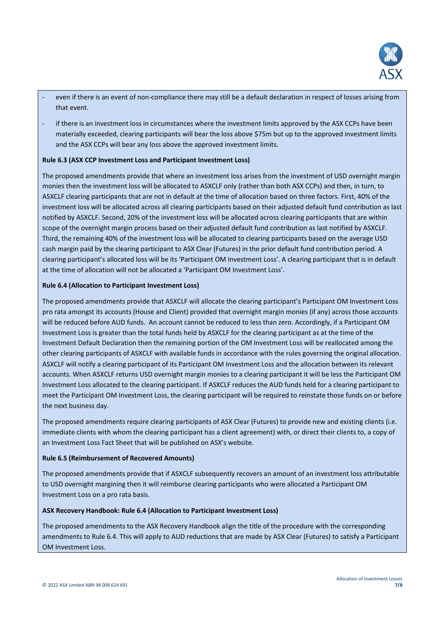

- even if there is an event of non-compliance there may still be a default declaration in respect of losses arising from that event.
- if there is an investment loss in circumstances where the investment limits approved by the ASX CCPs have been materially exceeded, clearing participants will bear the loss above \$75m but up to the approved investment limits and the ASX CCPs will bear any loss above the approved investment limits.

#### **Rule 6.3 (ASX CCP Investment Loss and Participant Investment Loss)**

The proposed amendments provide that where an investment loss arises from the investment of USD overnight margin monies then the investment loss will be allocated to ASXCLF only (rather than both ASX CCPs) and then, in turn, to ASXCLF clearing participants that are not in default at the time of allocation based on three factors. First, 40% of the investment loss will be allocated across all clearing participants based on their adjusted default fund contribution as last notified by ASXCLF. Second, 20% of the investment loss will be allocated across clearing participants that are within scope of the overnight margin process based on their adjusted default fund contribution as last notified by ASXCLF. Third, the remaining 40% of the investment loss will be allocated to clearing participants based on the average USD cash margin paid by the clearing participant to ASX Clear (Futures) in the prior default fund contribution period. A clearing participant's allocated loss will be its 'Participant OM Investment Loss'. A clearing participant that is in default at the time of allocation will not be allocated a 'Participant OM Investment Loss'.

#### **Rule 6.4 (Allocation to Participant Investment Loss)**

The proposed amendments provide that ASXCLF will allocate the clearing participant's Participant OM Investment Loss pro rata amongst its accounts (House and Client) provided that overnight margin monies (if any) across those accounts will be reduced before AUD funds. An account cannot be reduced to less than zero. Accordingly, if a Participant OM Investment Loss is greater than the total funds held by ASXCLF for the clearing participant as at the time of the Investment Default Declaration then the remaining portion of the OM Investment Loss will be reallocated among the other clearing participants of ASXCLF with available funds in accordance with the rules governing the original allocation. ASXCLF will notify a clearing participant of its Participant OM Investment Loss and the allocation between its relevant accounts. When ASXCLF returns USD overnight margin monies to a clearing participant it will be less the Participant OM Investment Loss allocated to the clearing participant. If ASXCLF reduces the AUD funds held for a clearing participant to meet the Participant OM Investment Loss, the clearing participant will be required to reinstate those funds on or before the next business day.

The proposed amendments require clearing participants of ASX Clear (Futures) to provide new and existing clients (i.e. immediate clients with whom the clearing participant has a client agreement) with, or direct their clients to, a copy of an Investment Loss Fact Sheet that will be published on ASX's website.

#### **Rule 6.5 (Reimbursement of Recovered Amounts)**

The proposed amendments provide that if ASXCLF subsequently recovers an amount of an investment loss attributable to USD overnight margining then it will reimburse clearing participants who were allocated a Participant OM Investment Loss on a pro rata basis.

#### **ASX Recovery Handbook: Rule 6.4 (Allocation to Participant Investment Loss)**

The proposed amendments to the ASX Recovery Handbook align the title of the procedure with the corresponding amendments to Rule 6.4. This will apply to AUD reductions that are made by ASX Clear (Futures) to satisfy a Participant OM Investment Loss.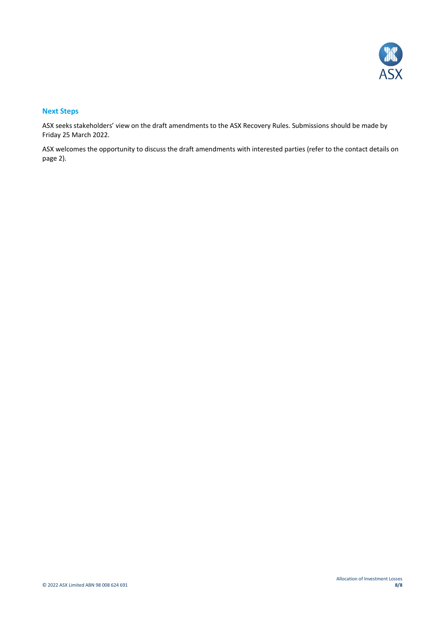

#### **Next Steps**

ASX seeks stakeholders' view on the draft amendments to the ASX Recovery Rules. Submissions should be made by Friday 25 March 2022.

ASX welcomes the opportunity to discuss the draft amendments with interested parties (refer to the contact details on page 2).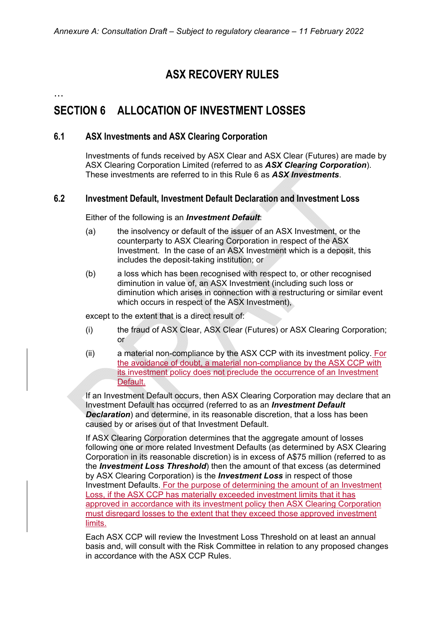# **ASX RECOVERY RULES**

…

# **SECTION 6 ALLOCATION OF INVESTMENT LOSSES**

## **6.1 ASX Investments and ASX Clearing Corporation**

Investments of funds received by ASX Clear and ASX Clear (Futures) are made by ASX Clearing Corporation Limited (referred to as *ASX Clearing Corporation*). These investments are referred to in this Rule 6 as *ASX Investments*.

## **6.2 Investment Default, Investment Default Declaration and Investment Loss**

Either of the following is an *Investment Default*:

- (a) the insolvency or default of the issuer of an ASX Investment, or the counterparty to ASX Clearing Corporation in respect of the ASX Investment. In the case of an ASX Investment which is a deposit, this includes the deposit-taking institution; or
- (b) a loss which has been recognised with respect to, or other recognised diminution in value of, an ASX Investment (including such loss or diminution which arises in connection with a restructuring or similar event which occurs in respect of the ASX Investment),

except to the extent that is a direct result of:

- (i) the fraud of ASX Clear, ASX Clear (Futures) or ASX Clearing Corporation; or
- (ii) a material non-compliance by the ASX CCP with its investment policy. For the avoidance of doubt, a material non-compliance by the ASX CCP with its investment policy does not preclude the occurrence of an Investment Default.

If an Investment Default occurs, then ASX Clearing Corporation may declare that an Investment Default has occurred (referred to as an *Investment Default*  **Declaration**) and determine, in its reasonable discretion, that a loss has been caused by or arises out of that Investment Default.

If ASX Clearing Corporation determines that the aggregate amount of losses following one or more related Investment Defaults (as determined by ASX Clearing Corporation in its reasonable discretion) is in excess of A\$75 million (referred to as the *Investment Loss Threshold*) then the amount of that excess (as determined by ASX Clearing Corporation) is the *Investment Loss* in respect of those Investment Defaults. For the purpose of determining the amount of an Investment Loss, if the ASX CCP has materially exceeded investment limits that it has approved in accordance with its investment policy then ASX Clearing Corporation must disregard losses to the extent that they exceed those approved investment limits.

Each ASX CCP will review the Investment Loss Threshold on at least an annual basis and, will consult with the Risk Committee in relation to any proposed changes in accordance with the ASX CCP Rules.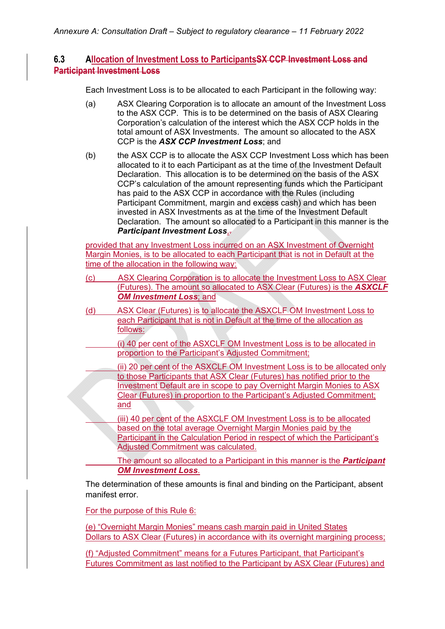# **6.3 Allocation of Investment Loss to ParticipantsSX CCP Investment Loss and Participant Investment Loss**

Each Investment Loss is to be allocated to each Participant in the following way:

- (a) ASX Clearing Corporation is to allocate an amount of the Investment Loss to the ASX CCP. This is to be determined on the basis of ASX Clearing Corporation's calculation of the interest which the ASX CCP holds in the total amount of ASX Investments. The amount so allocated to the ASX CCP is the *ASX CCP Investment Loss*; and
- (b) the ASX CCP is to allocate the ASX CCP Investment Loss which has been allocated to it to each Participant as at the time of the Investment Default Declaration. This allocation is to be determined on the basis of the ASX CCP's calculation of the amount representing funds which the Participant has paid to the ASX CCP in accordance with the Rules (including Participant Commitment, margin and excess cash) and which has been invested in ASX Investments as at the time of the Investment Default Declaration. The amount so allocated to a Participant in this manner is the *Participant Investment Loss*,.

provided that any Investment Loss incurred on an ASX Investment of Overnight Margin Monies, is to be allocated to each Participant that is not in Default at the time of the allocation in the following way:

- (c) ASX Clearing Corporation is to allocate the Investment Loss to ASX Clear (Futures). The amount so allocated to ASX Clear (Futures) is the *ASXCLF OM Investment Loss*; and
- (d) ASX Clear (Futures) is to allocate the ASXCLF OM Investment Loss to each Participant that is not in Default at the time of the allocation as follows:
	- (i) 40 per cent of the ASXCLF OM Investment Loss is to be allocated in proportion to the Participant's Adjusted Commitment;
	- (ii) 20 per cent of the ASXCLF OM Investment Loss is to be allocated only to those Participants that ASX Clear (Futures) has notified prior to the Investment Default are in scope to pay Overnight Margin Monies to ASX Clear (Futures) in proportion to the Participant's Adjusted Commitment; and
	- (iii) 40 per cent of the ASXCLF OM Investment Loss is to be allocated based on the total average Overnight Margin Monies paid by the Participant in the Calculation Period in respect of which the Participant's Adjusted Commitment was calculated.

 The amount so allocated to a Participant in this manner is the *Participant OM Investment Loss*.

The determination of these amounts is final and binding on the Participant, absent manifest error.

For the purpose of this Rule 6:

(e) "Overnight Margin Monies" means cash margin paid in United States Dollars to ASX Clear (Futures) in accordance with its overnight margining process;

(f) "Adjusted Commitment" means for a Futures Participant, that Participant's Futures Commitment as last notified to the Participant by ASX Clear (Futures) and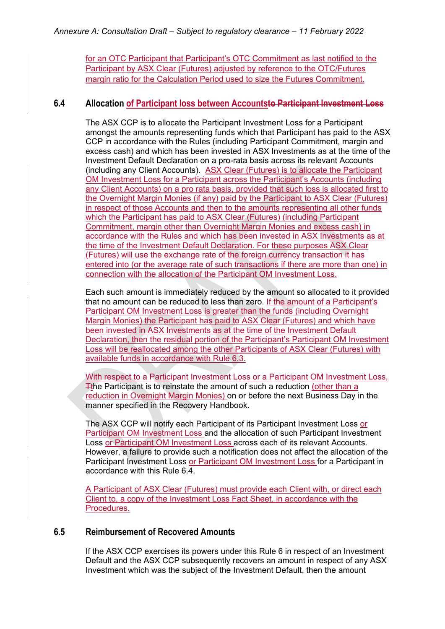for an OTC Participant that Participant's OTC Commitment as last notified to the Participant by ASX Clear (Futures) adjusted by reference to the OTC/Futures margin ratio for the Calculation Period used to size the Futures Commitment.

## **6.4 Allocation of Participant loss between Accountsto Participant Investment Loss**

The ASX CCP is to allocate the Participant Investment Loss for a Participant amongst the amounts representing funds which that Participant has paid to the ASX CCP in accordance with the Rules (including Participant Commitment, margin and excess cash) and which has been invested in ASX Investments as at the time of the Investment Default Declaration on a pro-rata basis across its relevant Accounts (including any Client Accounts). ASX Clear (Futures) is to allocate the Participant OM Investment Loss for a Participant across the Participant's Accounts (including any Client Accounts) on a pro rata basis, provided that such loss is allocated first to the Overnight Margin Monies (if any) paid by the Participant to ASX Clear (Futures) in respect of those Accounts and then to the amounts representing all other funds which the Participant has paid to ASX Clear (Futures) (including Participant Commitment, margin other than Overnight Margin Monies and excess cash) in accordance with the Rules and which has been invested in ASX Investments as at the time of the Investment Default Declaration. For these purposes ASX Clear (Futures) will use the exchange rate of the foreign currency transaction it has entered into (or the average rate of such transactions if there are more than one) in connection with the allocation of the Participant OM Investment Loss.

Each such amount is immediately reduced by the amount so allocated to it provided that no amount can be reduced to less than zero. If the amount of a Participant's Participant OM Investment Loss is greater than the funds (including Overnight Margin Monies) the Participant has paid to ASX Clear (Futures) and which have been invested in ASX Investments as at the time of the Investment Default Declaration, then the residual portion of the Participant's Participant OM Investment Loss will be reallocated among the other Participants of ASX Clear (Futures) with available funds in accordance with Rule 6.3.

With respect to a Participant Investment Loss or a Participant OM Investment Loss, Tthe Participant is to reinstate the amount of such a reduction (other than a reduction in Overnight Margin Monies) on or before the next Business Day in the manner specified in the Recovery Handbook.

The ASX CCP will notify each Participant of its Participant Investment Loss or Participant OM Investment Loss and the allocation of such Participant Investment Loss or Participant OM Investment Loss across each of its relevant Accounts. However, a failure to provide such a notification does not affect the allocation of the Participant Investment Loss or Participant OM Investment Loss for a Participant in accordance with this Rule  $6\overline{4}$ .

A Participant of ASX Clear (Futures) must provide each Client with, or direct each Client to, a copy of the Investment Loss Fact Sheet, in accordance with the Procedures.

## **6.5 Reimbursement of Recovered Amounts**

If the ASX CCP exercises its powers under this Rule 6 in respect of an Investment Default and the ASX CCP subsequently recovers an amount in respect of any ASX Investment which was the subject of the Investment Default, then the amount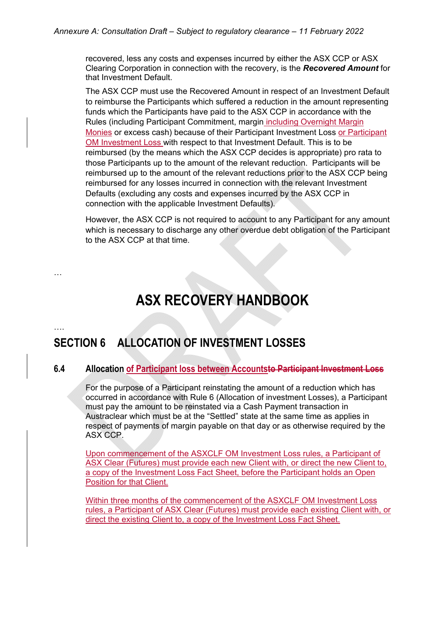recovered, less any costs and expenses incurred by either the ASX CCP or ASX Clearing Corporation in connection with the recovery, is the *Recovered Amount* for that Investment Default.

The ASX CCP must use the Recovered Amount in respect of an Investment Default to reimburse the Participants which suffered a reduction in the amount representing funds which the Participants have paid to the ASX CCP in accordance with the Rules (including Participant Commitment, margin including Overnight Margin Monies or excess cash) because of their Participant Investment Loss or Participant OM Investment Loss with respect to that Investment Default. This is to be reimbursed (by the means which the ASX CCP decides is appropriate) pro rata to those Participants up to the amount of the relevant reduction. Participants will be reimbursed up to the amount of the relevant reductions prior to the ASX CCP being reimbursed for any losses incurred in connection with the relevant Investment Defaults (excluding any costs and expenses incurred by the ASX CCP in connection with the applicable Investment Defaults).

However, the ASX CCP is not required to account to any Participant for any amount which is necessary to discharge any other overdue debt obligation of the Participant to the ASX CCP at that time.

# **ASX RECOVERY HANDBOOK**

# **SECTION 6 ALLOCATION OF INVESTMENT LOSSES**

…

….

### **6.4 Allocation of Participant loss between Accountsto Participant Investment Loss**

For the purpose of a Participant reinstating the amount of a reduction which has occurred in accordance with Rule 6 (Allocation of investment Losses), a Participant must pay the amount to be reinstated via a Cash Payment transaction in Austraclear which must be at the "Settled" state at the same time as applies in respect of payments of margin payable on that day or as otherwise required by the ASX CCP.

Upon commencement of the ASXCLF OM Investment Loss rules, a Participant of ASX Clear (Futures) must provide each new Client with, or direct the new Client to, a copy of the Investment Loss Fact Sheet, before the Participant holds an Open Position for that Client.

Within three months of the commencement of the ASXCLF OM Investment Loss rules, a Participant of ASX Clear (Futures) must provide each existing Client with, or direct the existing Client to, a copy of the Investment Loss Fact Sheet.